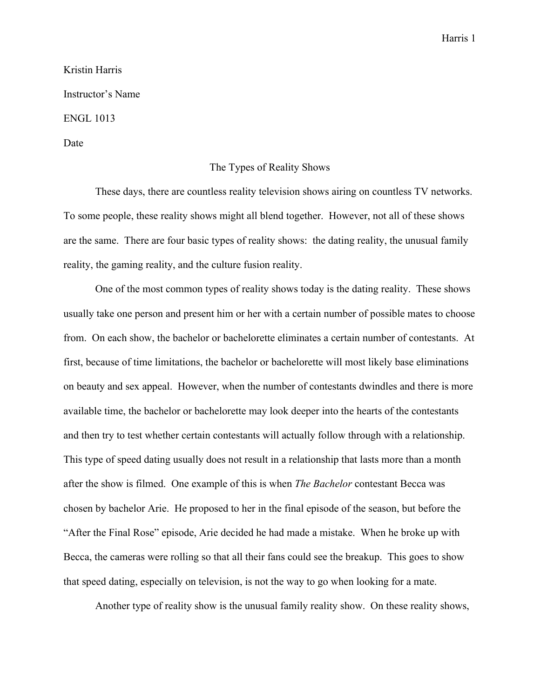## Harris 1

## Kristin Harris Instructor's Name ENGL 1013 Date

## The Types of Reality Shows

These days, there are countless reality television shows airing on countless TV networks. To some people, these reality shows might all blend together. However, not all of these shows are the same. There are four basic types of reality shows: the dating reality, the unusual family reality, the gaming reality, and the culture fusion reality.

One of the most common types of reality shows today is the dating reality. These shows usually take one person and present him or her with a certain number of possible mates to choose from. On each show, the bachelor or bachelorette eliminates a certain number of contestants. At first, because of time limitations, the bachelor or bachelorette will most likely base eliminations on beauty and sex appeal. However, when the number of contestants dwindles and there is more available time, the bachelor or bachelorette may look deeper into the hearts of the contestants and then try to test whether certain contestants will actually follow through with a relationship. This type of speed dating usually does not result in a relationship that lasts more than a month after the show is filmed. One example of this is when *The Bachelor* contestant Becca was chosen by bachelor Arie. He proposed to her in the final episode of the season, but before the "After the Final Rose" episode, Arie decided he had made a mistake. When he broke up with Becca, the cameras were rolling so that all their fans could see the breakup. This goes to show that speed dating, especially on television, is not the way to go when looking for a mate.

Another type of reality show is the unusual family reality show. On these reality shows,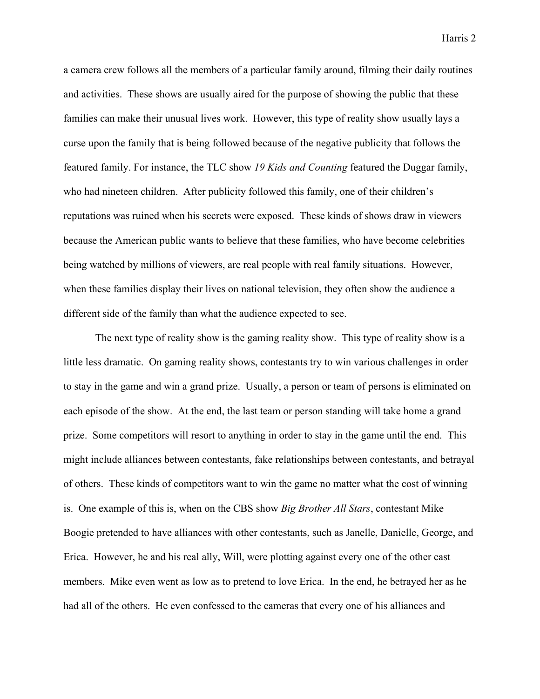Harris 2

a camera crew follows all the members of a particular family around, filming their daily routines and activities. These shows are usually aired for the purpose of showing the public that these families can make their unusual lives work. However, this type of reality show usually lays a curse upon the family that is being followed because of the negative publicity that follows the featured family. For instance, the TLC show *19 Kids and Counting* featured the Duggar family, who had nineteen children. After publicity followed this family, one of their children's reputations was ruined when his secrets were exposed. These kinds of shows draw in viewers because the American public wants to believe that these families, who have become celebrities being watched by millions of viewers, are real people with real family situations. However, when these families display their lives on national television, they often show the audience a different side of the family than what the audience expected to see.

The next type of reality show is the gaming reality show. This type of reality show is a little less dramatic. On gaming reality shows, contestants try to win various challenges in order to stay in the game and win a grand prize. Usually, a person or team of persons is eliminated on each episode of the show. At the end, the last team or person standing will take home a grand prize. Some competitors will resort to anything in order to stay in the game until the end. This might include alliances between contestants, fake relationships between contestants, and betrayal of others. These kinds of competitors want to win the game no matter what the cost of winning is. One example of this is, when on the CBS show *Big Brother All Stars*, contestant Mike Boogie pretended to have alliances with other contestants, such as Janelle, Danielle, George, and Erica. However, he and his real ally, Will, were plotting against every one of the other cast members. Mike even went as low as to pretend to love Erica. In the end, he betrayed her as he had all of the others. He even confessed to the cameras that every one of his alliances and